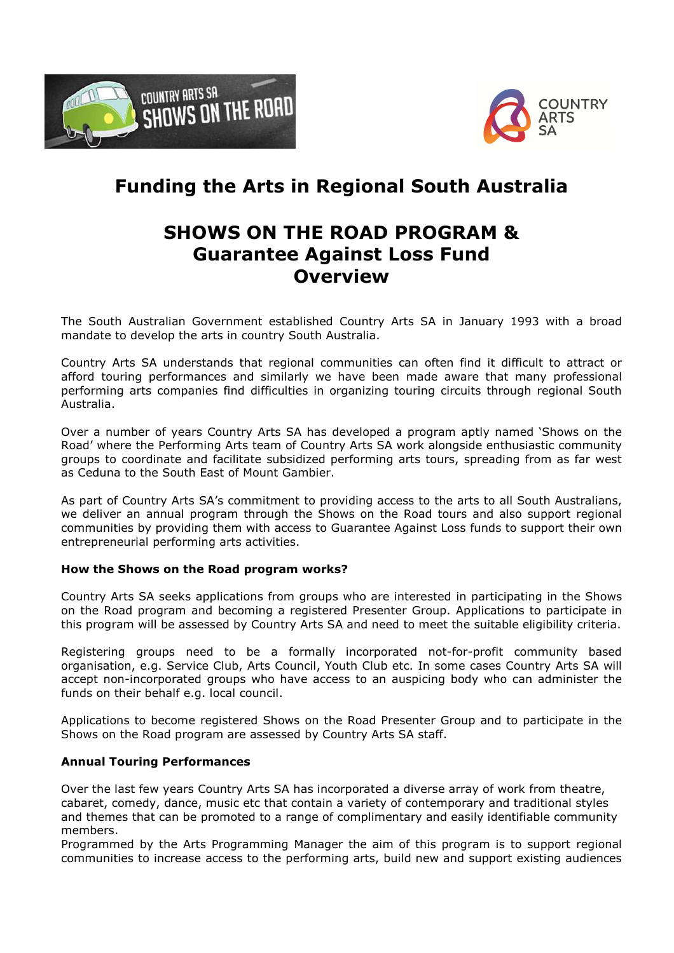



# **Funding the Arts in Regional South Australia**

## **SHOWS ON THE ROAD PROGRAM & Guarantee Against Loss Fund Overview**

The South Australian Government established Country Arts SA in January 1993 with a broad mandate to develop the arts in country South Australia.

Country Arts SA understands that regional communities can often find it difficult to attract or afford touring performances and similarly we have been made aware that many professional performing arts companies find difficulties in organizing touring circuits through regional South Australia.

Over a number of years Country Arts SA has developed a program aptly named 'Shows on the Road' where the Performing Arts team of Country Arts SA work alongside enthusiastic community groups to coordinate and facilitate subsidized performing arts tours, spreading from as far west as Ceduna to the South East of Mount Gambier.

As part of Country Arts SA's commitment to providing access to the arts to all South Australians, we deliver an annual program through the Shows on the Road tours and also support regional communities by providing them with access to Guarantee Against Loss funds to support their own entrepreneurial performing arts activities.

### **How the Shows on the Road program works?**

Country Arts SA seeks applications from groups who are interested in participating in the Shows on the Road program and becoming a registered Presenter Group. Applications to participate in this program will be assessed by Country Arts SA and need to meet the suitable eligibility criteria.

Registering groups need to be a formally incorporated not-for-profit community based organisation, e.g. Service Club, Arts Council, Youth Club etc. In some cases Country Arts SA will accept non-incorporated groups who have access to an auspicing body who can administer the funds on their behalf e.g. local council.

Applications to become registered Shows on the Road Presenter Group and to participate in the Shows on the Road program are assessed by Country Arts SA staff.

#### **Annual Touring Performances**

Over the last few years Country Arts SA has incorporated a diverse array of work from theatre, cabaret, comedy, dance, music etc that contain a variety of contemporary and traditional styles and themes that can be promoted to a range of complimentary and easily identifiable community members.

Programmed by the Arts Programming Manager the aim of this program is to support regional communities to increase access to the performing arts, build new and support existing audiences